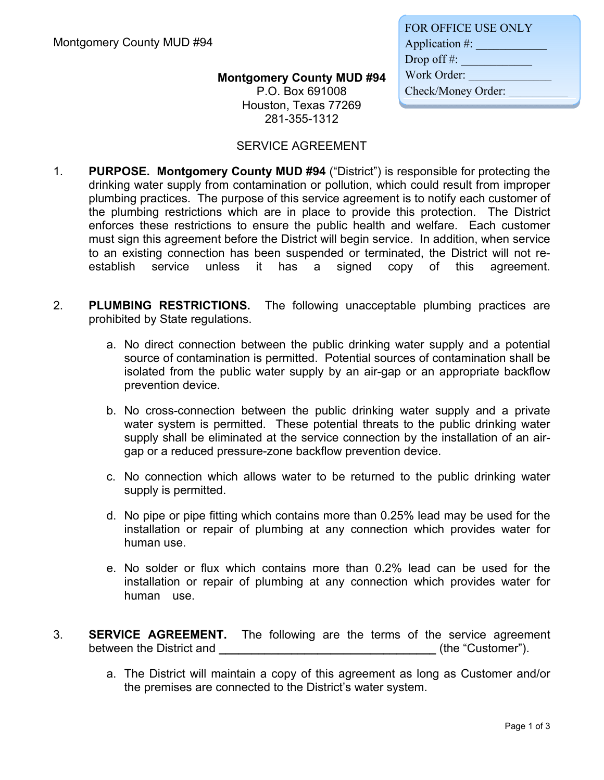## **Montgomery County MUD #94**

P.O. Box 691008 Houston, Texas 77269 281-355-1312

| <b>FOR OFFICE USE ONLY</b> |
|----------------------------|
| Application #:             |
| Drop off $#$ :             |
| Work Order:                |
| Check/Money Order:         |
|                            |

## SERVICE AGREEMENT

- 1. **PURPOSE. Montgomery County MUD #94** ("District") is responsible for protecting the drinking water supply from contamination or pollution, which could result from improper plumbing practices. The purpose of this service agreement is to notify each customer of the plumbing restrictions which are in place to provide this protection. The District enforces these restrictions to ensure the public health and welfare. Each customer must sign this agreement before the District will begin service. In addition, when service to an existing connection has been suspended or terminated, the District will not reestablish service unless it has a signed copy of this agreement.
- 2. **PLUMBING RESTRICTIONS.** The following unacceptable plumbing practices are prohibited by State regulations.
	- a. No direct connection between the public drinking water supply and a potential source of contamination is permitted. Potential sources of contamination shall be isolated from the public water supply by an air-gap or an appropriate backflow prevention device.
	- b. No cross-connection between the public drinking water supply and a private water system is permitted. These potential threats to the public drinking water supply shall be eliminated at the service connection by the installation of an airgap or a reduced pressure-zone backflow prevention device.
	- c. No connection which allows water to be returned to the public drinking water supply is permitted.
	- d. No pipe or pipe fitting which contains more than 0.25% lead may be used for the installation or repair of plumbing at any connection which provides water for human use.
	- e. No solder or flux which contains more than 0.2% lead can be used for the installation or repair of plumbing at any connection which provides water for human use.
- 3. **SERVICE AGREEMENT.** The following are the terms of the service agreement between the District and **District and the Security Container** (the "Customer").
	- a. The District will maintain a copy of this agreement as long as Customer and/or the premises are connected to the District's water system.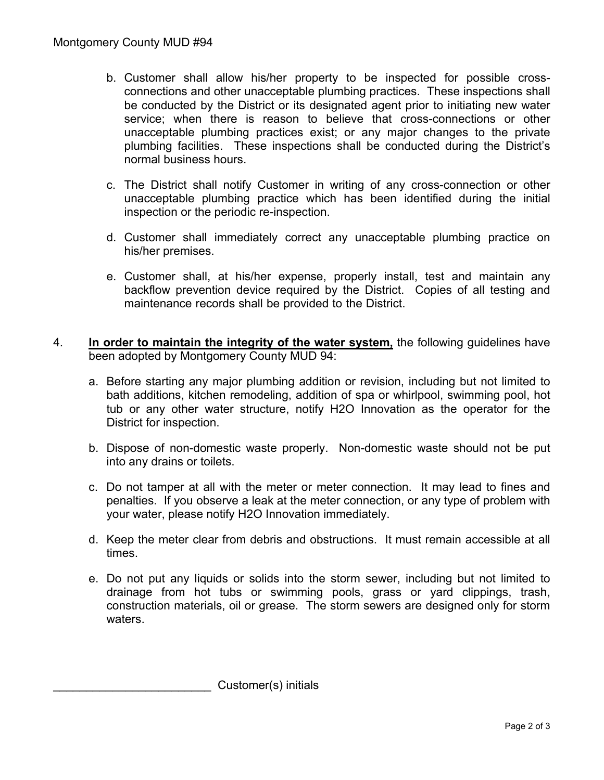- b. Customer shall allow his/her property to be inspected for possible crossconnections and other unacceptable plumbing practices. These inspections shall be conducted by the District or its designated agent prior to initiating new water service; when there is reason to believe that cross-connections or other unacceptable plumbing practices exist; or any major changes to the private plumbing facilities. These inspections shall be conducted during the District's normal business hours.
- c. The District shall notify Customer in writing of any cross-connection or other unacceptable plumbing practice which has been identified during the initial inspection or the periodic re-inspection.
- d. Customer shall immediately correct any unacceptable plumbing practice on his/her premises.
- e. Customer shall, at his/her expense, properly install, test and maintain any backflow prevention device required by the District. Copies of all testing and maintenance records shall be provided to the District.
- 4. **In order to maintain the integrity of the water system,** the following guidelines have been adopted by Montgomery County MUD 94:
	- a. Before starting any major plumbing addition or revision, including but not limited to bath additions, kitchen remodeling, addition of spa or whirlpool, swimming pool, hot tub or any other water structure, notify H2O Innovation as the operator for the District for inspection.
	- b. Dispose of non-domestic waste properly. Non-domestic waste should not be put into any drains or toilets.
	- c. Do not tamper at all with the meter or meter connection. It may lead to fines and penalties. If you observe a leak at the meter connection, or any type of problem with your water, please notify H2O Innovation immediately.
	- d. Keep the meter clear from debris and obstructions. It must remain accessible at all times.
	- e. Do not put any liquids or solids into the storm sewer, including but not limited to drainage from hot tubs or swimming pools, grass or yard clippings, trash, construction materials, oil or grease. The storm sewers are designed only for storm waters.

Customer(s) initials